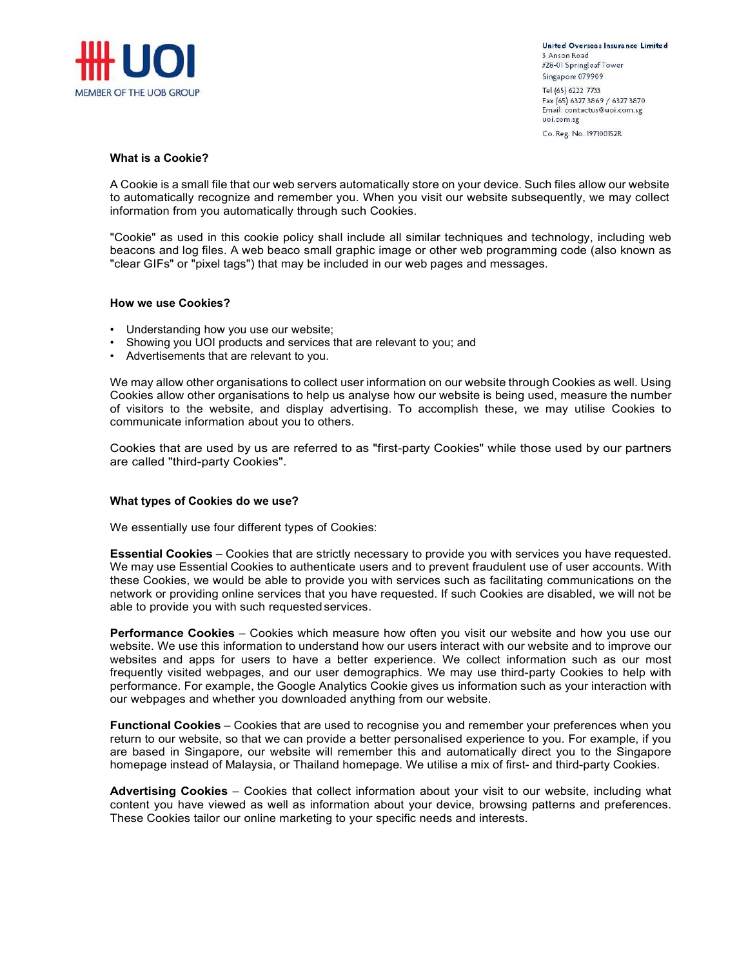

United Overseas Insurance Limited 3 Anson Road #28-01 Springleaf Tower Singapore 079909 Tel (65) 6222 7733 Fax (65) 6327 3869 / 6327 3870 Email: contactus@uoi.com.sg uoi.com.sg Co. Reg. No. 197100152R

## What is a Cookie?

A Cookie is a small file that our web servers automatically store on your device. Such files allow our website to automatically recognize and remember you. When you visit our website subsequently, we may collect information from you automatically through such Cookies.

"Cookie" as used in this cookie policy shall include all similar techniques and technology, including web beacons and log files. A web beaco small graphic image or other web programming code (also known as "clear GIFs" or "pixel tags") that may be included in our web pages and messages.

## How we use Cookies?

- Understanding how you use our website;
- Showing you UOI products and services that are relevant to you; and
- Advertisements that are relevant to you.

We may allow other organisations to collect user information on our website through Cookies as well. Using Cookies allow other organisations to help us analyse how our website is being used, measure the number of visitors to the website, and display advertising. To accomplish these, we may utilise Cookies to communicate information about you to others.

Cookies that are used by us are referred to as "first-party Cookies" while those used by our partners are called "third-party Cookies".

## What types of Cookies do we use?

We essentially use four different types of Cookies:

**Essential Cookies** – Cookies that are strictly necessary to provide you with services you have requested. We may use Essential Cookies to authenticate users and to prevent fraudulent use of user accounts. With these Cookies, we would be able to provide you with services such as facilitating communications on the network or providing online services that you have requested. If such Cookies are disabled, we will not be able to provide you with such requested services.

**Performance Cookies** – Cookies which measure how often you visit our website and how you use our website. We use this information to understand how our users interact with our website and to improve our websites and apps for users to have a better experience. We collect information such as our most frequently visited webpages, and our user demographics. We may use third-party Cookies to help with performance. For example, the Google Analytics Cookie gives us information such as your interaction with our webpages and whether you downloaded anything from our website.

Functional Cookies - Cookies that are used to recognise you and remember your preferences when you return to our website, so that we can provide a better personalised experience to you. For example, if you are based in Singapore, our website will remember this and automatically direct you to the Singapore homepage instead of Malaysia, or Thailand homepage. We utilise a mix of first- and third-party Cookies.

Advertising Cookies - Cookies that collect information about your visit to our website, including what content you have viewed as well as information about your device, browsing patterns and preferences. These Cookies tailor our online marketing to your specific needs and interests.